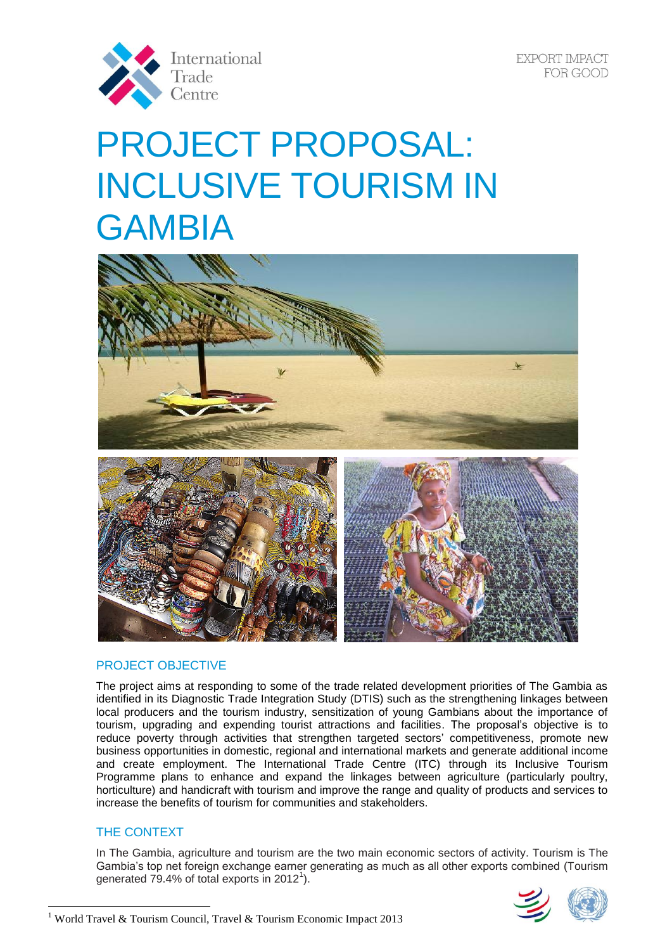

# PROJECT PROPOSAL: INCLUSIVE TOURISM IN GAMBIA



# PROJECT OBJECTIVE

The project aims at responding to some of the trade related development priorities of The Gambia as identified in its Diagnostic Trade Integration Study (DTIS) such as the strengthening linkages between local producers and the tourism industry, sensitization of young Gambians about the importance of tourism, upgrading and expending tourist attractions and facilities. The proposal's objective is to reduce poverty through activities that strengthen targeted sectors' competitiveness, promote new business opportunities in domestic, regional and international markets and generate additional income and create employment. The International Trade Centre (ITC) through its Inclusive Tourism Programme plans to enhance and expand the linkages between agriculture (particularly poultry, horticulture) and handicraft with tourism and improve the range and quality of products and services to increase the benefits of tourism for communities and stakeholders.

# THE CONTEXT

In The Gambia, agriculture and tourism are the two main economic sectors of activity. Tourism is The Gambia's top net foreign exchange earner generating as much as all other exports combined (Tourism generated 79.4% of total exports in 2012<sup>1</sup>).



 $\overline{a}$ <sup>1</sup> World Travel & Tourism Council, Travel & Tourism Economic Impact 2013